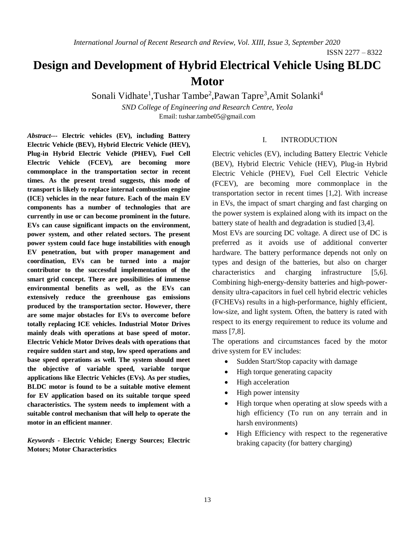ISSN 2277 – 8322

# **Design and Development of Hybrid Electrical Vehicle Using BLDC Motor**

Sonali Vidhate<sup>1</sup>,Tushar Tambe<sup>2</sup>,Pawan Tapre<sup>3</sup>,Amit Solanki<sup>4</sup>

*SND College of Engineering and Research Centre, Yeola* Email: [tushar.tambe05@gmail.com](mailto:tushar.tambe05@gmail.com)

*Abstract---* **Electric vehicles (EV), including Battery Electric Vehicle (BEV), Hybrid Electric Vehicle (HEV), Plug-in Hybrid Electric Vehicle (PHEV), Fuel Cell Electric Vehicle (FCEV), are becoming more commonplace in the transportation sector in recent times. As the present trend suggests, this mode of transport is likely to replace internal combustion engine (ICE) vehicles in the near future. Each of the main EV components has a number of technologies that are currently in use or can become prominent in the future. EVs can cause significant impacts on the environment, power system, and other related sectors. The present power system could face huge instabilities with enough EV penetration, but with proper management and coordination, EVs can be turned into a major contributor to the successful implementation of the smart grid concept. There are possibilities of immense environmental benefits as well, as the EVs can extensively reduce the greenhouse gas emissions produced by the transportation sector. However, there are some major obstacles for EVs to overcome before totally replacing ICE vehicles. Industrial Motor Drives mainly deals with operations at base speed of motor. Electric Vehicle Motor Drives deals with operations that require sudden start and stop, low speed operations and base speed operations as well. The system should meet the objective of variable speed, variable torque applications like Electric Vehicles (EVs). As per studies, BLDC motor is found to be a suitable motive element for EV application based on its suitable torque speed characteristics. The system needs to implement with a suitable control mechanism that will help to operate the motor in an efficient manner**.

*Keywords -* **Electric Vehicle; Energy Sources; Electric Motors; Motor Characteristics**

# I. INTRODUCTION

Electric vehicles (EV), including Battery Electric Vehicle (BEV), Hybrid Electric Vehicle (HEV), Plug-in Hybrid Electric Vehicle (PHEV), Fuel Cell Electric Vehicle (FCEV), are becoming more commonplace in the transportation sector in recent times [1,2]. With increase in EVs, the impact of smart charging and fast charging on the power system is explained along with its impact on the battery state of health and degradation is studied [3,4].

Most EVs are sourcing DC voltage. A direct use of DC is preferred as it avoids use of additional converter hardware. The battery performance depends not only on types and design of the batteries, but also on charger characteristics and charging infrastructure [5,6]. Combining high-energy-density batteries and high-powerdensity ultra-capacitors in fuel cell hybrid electric vehicles (FCHEVs) results in a high-performance, highly efficient, low-size, and light system. Often, the battery is rated with respect to its energy requirement to reduce its volume and mass [7,8].

The operations and circumstances faced by the motor drive system for EV includes:

- Sudden Start/Stop capacity with damage
- High torque generating capacity
- High acceleration
- $\bullet$  High power intensity
- High torque when operating at slow speeds with a high efficiency (To run on any terrain and in harsh environments)
- High Efficiency with respect to the regenerative braking capacity (for battery charging)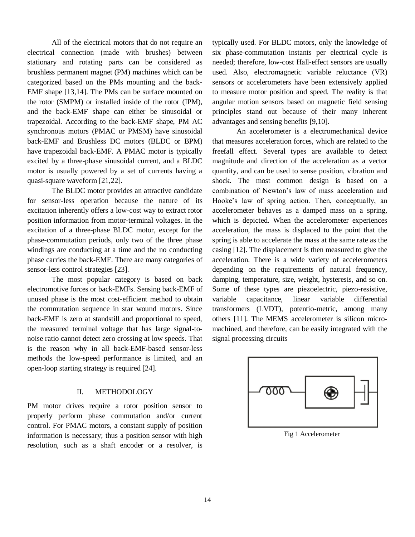All of the electrical motors that do not require an electrical connection (made with brushes) between stationary and rotating parts can be considered as brushless permanent magnet (PM) machines which can be categorized based on the PMs mounting and the back-EMF shape [13,14]. The PMs can be surface mounted on the rotor (SMPM) or installed inside of the rotor (IPM), and the back-EMF shape can either be sinusoidal or trapezoidal. According to the back-EMF shape, PM AC synchronous motors (PMAC or PMSM) have sinusoidal back-EMF and Brushless DC motors (BLDC or BPM) have trapezoidal back-EMF. A PMAC motor is typically excited by a three-phase sinusoidal current, and a BLDC motor is usually powered by a set of currents having a quasi-square waveform [21,22].

The BLDC motor provides an attractive candidate for sensor-less operation because the nature of its excitation inherently offers a low-cost way to extract rotor position information from motor-terminal voltages. In the excitation of a three-phase BLDC motor, except for the phase-commutation periods, only two of the three phase windings are conducting at a time and the no conducting phase carries the back-EMF. There are many categories of sensor-less control strategies [\[23\]](https://www.ncbi.nlm.nih.gov/pmc/articles/PMC3231115/#b6-sensors-10-06901).

The most popular category is based on back electromotive forces or back-EMFs. Sensing back-EMF of unused phase is the most cost-efficient method to obtain the commutation sequence in star wound motors. Since back-EMF is zero at standstill and proportional to speed, the measured terminal voltage that has large signal-tonoise ratio cannot detect zero crossing at low speeds. That is the reason why in all back-EMF-based sensor-less methods the low-speed performance is limited, and an open-loop starting strategy is required [24].

# II. METHODOLOGY

PM motor drives require a rotor position sensor to properly perform phase commutation and/or current control. For PMAC motors, a constant supply of position information is necessary; thus a position sensor with high resolution, such as a shaft encoder or a resolver, is typically used. For BLDC motors, only the knowledge of six phase-commutation instants per electrical cycle is needed; therefore, low-cost Hall-effect sensors are usually used. Also, electromagnetic variable reluctance (VR) sensors or accelerometers have been extensively applied to measure motor position and speed. The reality is that angular motion sensors based on magnetic field sensing principles stand out because of their many inherent advantages and sensing benefits [9,10].

An accelerometer is a electromechanical device that measures acceleration forces, which are related to the freefall effect. Several types are available to detect magnitude and direction of the acceleration as a vector quantity, and can be used to sense position, vibration and shock. The most common design is based on a combination of Newton's law of mass acceleration and Hooke's law of spring action. Then, conceptually, an accelerometer behaves as a damped mass on a spring, which is depicted. When the accelerometer experiences acceleration, the mass is displaced to the point that the spring is able to accelerate the mass at the same rate as the casing [12]. The displacement is then measured to give the acceleration. There is a wide variety of accelerometers depending on the requirements of natural frequency, damping, temperature, size, weight, hysteresis, and so on. Some of these types are piezoelectric, piezo-resistive, variable capacitance, linear variable differential transformers (LVDT), potentio-metric, among many others [11]. The MEMS accelerometer is silicon micromachined, and therefore, can be easily integrated with the signal processing circuits



Fig 1 Accelerometer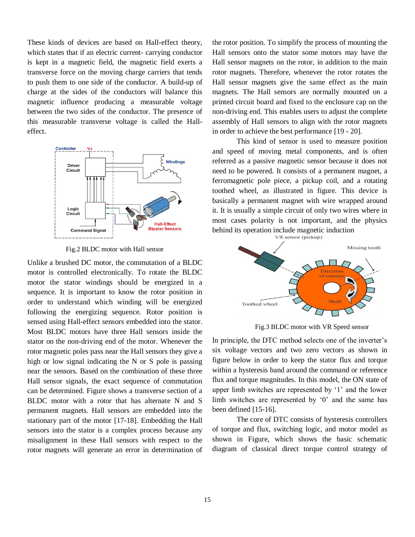These kinds of devices are based on Hall-effect theory, which states that if an electric current- carrying conductor is kept in a magnetic field, the magnetic field exerts a transverse force on the moving charge carriers that tends to push them to one side of the conductor. A build-up of charge at the sides of the conductors will balance this magnetic influence producing a measurable voltage between the two sides of the conductor. The presence of this measurable transverse voltage is called the Halleffect.



Fig.2 BLDC motor with Hall sensor

Unlike a brushed DC motor, the commutation of a BLDC motor is controlled electronically. To rotate the BLDC motor the stator windings should be energized in a sequence. It is important to know the rotor position in order to understand which winding will be energized following the energizing sequence. Rotor position is sensed using Hall-effect sensors embedded into the stator. Most BLDC motors have three Hall sensors inside the stator on the non-driving end of the motor. Whenever the rotor magnetic poles pass near the Hall sensors they give a high or low signal indicating the N or S pole is passing near the sensors. Based on the combination of these three Hall sensor signals, the exact sequence of commutation can be determined. Figure shows a transverse section of a BLDC motor with a rotor that has alternate N and S permanent magnets. Hall sensors are embedded into the stationary part of the motor [17-18]. Embedding the Hall sensors into the stator is a complex process because any misalignment in these Hall sensors with respect to the rotor magnets will generate an error in determination of the rotor position. To simplify the process of mounting the Hall sensors onto the stator some motors may have the Hall sensor magnets on the rotor, in addition to the main rotor magnets. Therefore, whenever the rotor rotates the Hall sensor magnets give the same effect as the main magnets. The Hall sensors are normally mounted on a printed circuit board and fixed to the enclosure cap on the non-driving end. This enables users to adjust the complete assembly of Hall sensors to align with the rotor magnets in order to achieve the best performance [19 - 20].

This kind of sensor is used to measure position and speed of moving metal components, and is often referred as a passive magnetic sensor because it does not need to be powered. It consists of a permanent magnet, a ferromagnetic pole piece, a pickup coil, and a rotating toothed wheel, as illustrated in figure. This device is basically a permanent magnet with wire wrapped around it. It is usually a simple circuit of only two wires where in most cases polarity is not important, and the physics behind its operation include magnetic induction



Fig.3 BLDC motor with VR Speed sensor

In principle, the DTC method selects one of the inverter's six voltage vectors and two zero vectors as shown in figure below in order to keep the stator flux and torque within a hysteresis band around the command or reference flux and torque magnitudes. In this model, the ON state of upper limb switches are represented by '1' and the lower limb switches are represented by '0' and the same has been defined [15-16].

The core of DTC consists of hysteresis controllers of torque and flux, switching logic, and motor model as shown in Figure, which shows the basic schematic diagram of classical direct torque control strategy of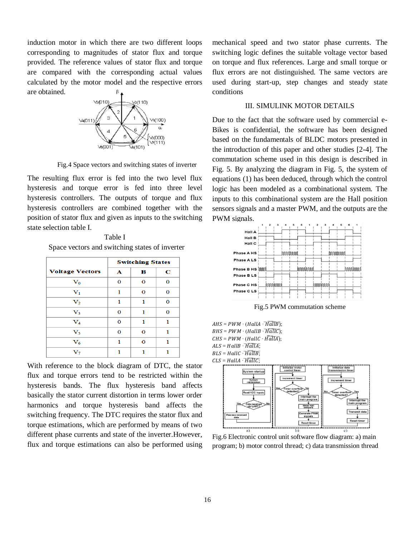induction motor in which there are two different loops corresponding to magnitudes of stator flux and torque provided. The reference values of stator flux and torque are compared with the corresponding actual values calculated by the motor model and the respective errors are obtained.



Fig.4 Space vectors and switching states of inverter

The resulting flux error is fed into the two level flux hysteresis and torque error is fed into three level hysteresis controllers. The outputs of torque and flux hysteresis controllers are combined together with the position of stator flux and given as inputs to the switching state selection table I.

| Table I                                        |
|------------------------------------------------|
| Space vectors and switching states of inverter |

|                        | <b>Switching States</b> |   |   |
|------------------------|-------------------------|---|---|
| <b>Voltage Vectors</b> | $\blacktriangle$        | в | c |
| $V_0$                  | 0                       | O | 0 |
| $\mathbf{V}_1$         | 1                       | 0 | O |
| $\rm V_2$              | 1                       | 1 | O |
| $\rm{V}_3$             | O                       | 1 | O |
| $V_4$                  | 0                       | 1 | 1 |
| $V_5$                  | 0                       | o | 1 |
| $V_6$                  | 1                       | O | 1 |
| $\mathbf{V}_7$         |                         |   |   |

With reference to the block diagram of DTC, the stator flux and torque errors tend to be restricted within the hysteresis bands. The flux hysteresis band affects basically the stator current distortion in terms lower order harmonics and torque hysteresis band affects the switching frequency. The DTC requires the stator flux and torque estimations, which are performed by means of two different phase currents and state of the inverter.However, flux and torque estimations can also be performed using mechanical speed and two stator phase currents. The switching logic defines the suitable voltage vector based on torque and flux references. Large and small torque or flux errors are not distinguished. The same vectors are used during start-up, step changes and steady state conditions

### III. SIMULINK MOTOR DETAILS

Due to the fact that the software used by commercial e-Bikes is confidential, the software has been designed based on the fundamentals of BLDC motors presented in the introduction of this paper and other studies [2-4]. The commutation scheme used in this design is described in Fig. 5. By analyzing the diagram in Fig. 5, the system of equations (1) has been deduced, through which the control logic has been modeled as a combinational system. The inputs to this combinational system are the Hall position sensors signals and a master PWM, and the outputs are the PWM signals.



Fig.5 PWM commutation scheme



Fig.6 Electronic control unit software flow diagram: a) main program; b) motor control thread; c) data transmission thread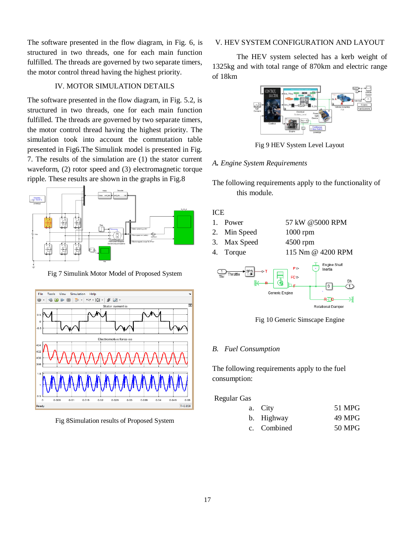The software presented in the flow diagram, in Fig. 6, is structured in two threads, one for each main function fulfilled. The threads are governed by two separate timers, the motor control thread having the highest priority.

# IV. MOTOR SIMULATION DETAILS

The software presented in the flow diagram, in Fig. 5.2, is structured in two threads, one for each main function fulfilled. The threads are governed by two separate timers, the motor control thread having the highest priority. The simulation took into account the commutation table presented in Fig6.The Simulink model is presented in Fig. 7. The results of the simulation are (1) the stator current waveform, (2) rotor speed and (3) electromagnetic torque ripple. These results are shown in the graphs in Fig.8



Fig 7 Simulink Motor Model of Proposed System



Fig 8Simulation results of Proposed System

# V. HEV SYSTEM CONFIGURATION AND LAYOUT

The HEV system selected has a kerb weight of 1325kg and with total range of 870km and electric range of 18km



Fig 9 HEV System Level Layout

# *A. Engine System Requirements*

The following requirements apply to the functionality of this module.

# ICE

- 1. Power 57 kW @5000 RPM
- 2. Min Speed 1000 rpm
- 3. Max Speed 4500 rpm
- 

4. Torque 115 Nm @ 4200 RPM



Fig 10 Generic Simscape Engine

# *B. Fuel Consumption*

The following requirements apply to the fuel consumption:

Regular Gas

| a. City     | 51 MPG |
|-------------|--------|
| b. Highway  | 49 MPG |
| c. Combined | 50 MPG |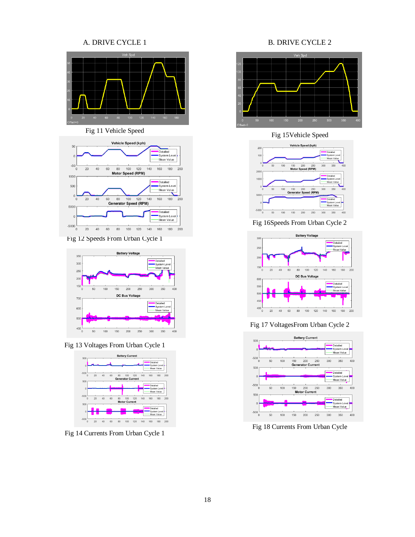## A. DRIVE CYCLE 1



Fig 11 Vehicle Speed



Fig 12 Speeds From Urban Cycle 1



Fig 13 Voltages From Urban Cycle 1



Fig 14 Currents From Urban Cycle 1

# B. DRIVE CYCLE 2



Fig 15Vehicle Speed



Fig 16Speeds From Urban Cycle 2



Fig 17 VoltagesFrom Urban Cycle 2



Fig 18 Currents From Urban Cycle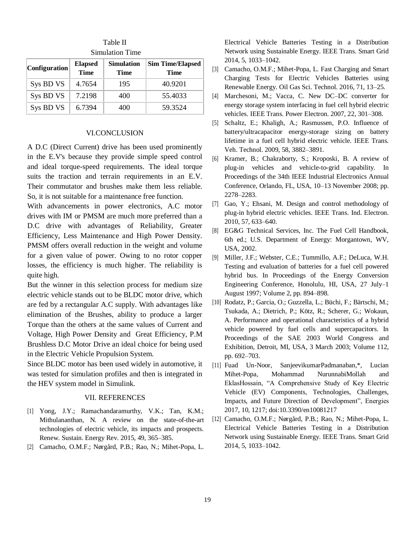| Configuration | <b>Elapsed</b><br><b>Time</b> | <b>Simulation</b><br><b>Time</b> | <b>Sim Time/Elapsed</b><br><b>Time</b> |
|---------------|-------------------------------|----------------------------------|----------------------------------------|
| Sys BD VS     | 4.7654                        | 195                              | 40.9201                                |
| Sys BD VS     | 7.2198                        | 400                              | 55.4033                                |
| Sys BD VS     | 6.7394                        | 400                              | 59.3524                                |

Table II Simulation Time

# VI.CONCLUSION

A D.C (Direct Current) drive has been used prominently in the E.V's because they provide simple speed control and ideal torque-speed requirements. The ideal torque suits the traction and terrain requirements in an E.V. Their commutator and brushes make them less reliable. So, it is not suitable for a maintenance free function.

With advancements in power electronics, A.C motor drives with IM or PMSM are much more preferred than a D.C drive with advantages of Reliability, Greater Efficiency, Less Maintenance and High Power Density. PMSM offers overall reduction in the weight and volume for a given value of power. Owing to no rotor copper losses, the efficiency is much higher. The reliability is quite high.

But the winner in this selection process for medium size electric vehicle stands out to be BLDC motor drive, which are fed by a rectangular A.C supply. With advantages like elimination of the Brushes, ability to produce a larger Torque than the others at the same values of Current and Voltage, High Power Density and Great Efficiency, P.M Brushless D.C Motor Drive an ideal choice for being used in the Electric Vehicle Propulsion System.

Since BLDC motor has been used widely in automotive, it was tested for simulation profiles and then is integrated in the HEV system model in Simulink.

# VII. REFERENCES

- [1] Yong, J.Y.; Ramachandaramurthy, V.K.; Tan, K.M.; Mithulananthan, N. A review on the state-of-the-art technologies of electric vehicle, its impacts and prospects. Renew. Sustain. Energy Rev. 2015, 49, 365–385.
- [2] Camacho, O.M.F.; Nørgård, P.B.; Rao, N.; Mihet-Popa, L.

Electrical Vehicle Batteries Testing in a Distribution Network using Sustainable Energy. IEEE Trans. Smart Grid 2014, 5, 1033–1042.

- [3] Camacho, O.M.F.; Mihet-Popa, L. Fast Charging and Smart Charging Tests for Electric Vehicles Batteries using Renewable Energy. Oil Gas Sci. Technol. 2016, 71, 13–25.
- [4] Marchesoni, M.; Vacca, C. New DC–DC converter for energy storage system interfacing in fuel cell hybrid electric vehicles. IEEE Trans. Power Electron. 2007, 22, 301–308.
- [5] Schaltz, E.; Khaligh, A.; Rasmussen, P.O. Influence of battery/ultracapacitor energy-storage sizing on battery lifetime in a fuel cell hybrid electric vehicle. IEEE Trans. Veh. Technol. 2009, 58, 3882–3891.
- [6] Kramer, B.; Chakraborty, S.; Kroposki, B. A review of plug-in vehicles and vehicle-to-grid capability. In Proceedings of the 34th IEEE Industrial Electronics Annual Conference, Orlando, FL, USA, 10–13 November 2008; pp. 2278–2283.
- [7] Gao, Y.; Ehsani, M. Design and control methodology of plug-in hybrid electric vehicles. IEEE Trans. Ind. Electron. 2010, 57, 633–640.
- [8] EG&G Technical Services, Inc. The Fuel Cell Handbook, 6th ed.; U.S. Department of Energy: Morgantown, WV, USA, 2002.
- [9] Miller, J.F.; Webster, C.E.; Tummillo, A.F.; DeLuca, W.H. Testing and evaluation of batteries for a fuel cell powered hybrid bus. In Proceedings of the Energy Conversion Engineering Conference, Honolulu, HI, USA, 27 July–1 August 1997; Volume 2, pp. 894–898.
- [10] Rodatz, P.; Garcia, O.; Guzzella, L.; Büchi, F.; Bärtschi, M.; Tsukada, A.; Dietrich, P.; Kötz, R.; Scherer, G.; Wokaun, A. Performance and operational characteristics of a hybrid vehicle powered by fuel cells and supercapacitors. In Proceedings of the SAE 2003 World Congress and Exhibition, Detroit, MI, USA, 3 March 2003; Volume 112, pp. 692–703.
- [11] Fuad Un-Noor, SanjeevikumarPadmanaban,\*, Lucian Mihet-Popa, Mohammad NurunnabiMollah and EklasHossain, "A Comprehensive Study of Key Electric Vehicle (EV) Components, Technologies, Challenges, Impacts, and Future Direction of Development", Energies 2017, 10, 1217; doi:10.3390/en10081217
- [12] Camacho, O.M.F.; Nørgård, P.B.; Rao, N.; Mihet-Popa, L. Electrical Vehicle Batteries Testing in a Distribution Network using Sustainable Energy. IEEE Trans. Smart Grid 2014, 5, 1033–1042.